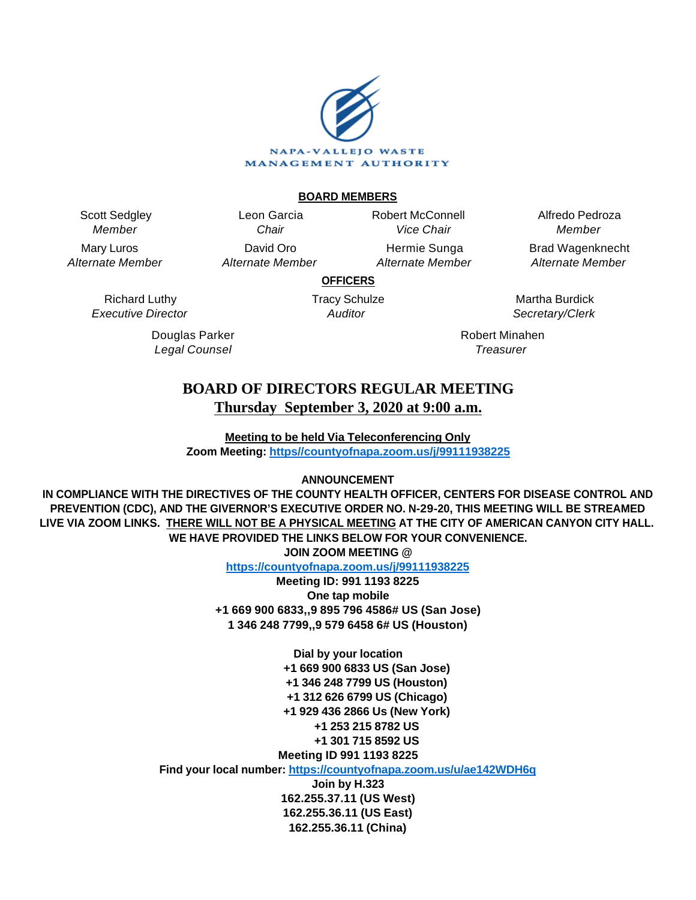

#### **BOARD MEMBERS**

Scott Sedgley Member

Mary Luros Alternate Member

> Richard Luthy Executive Director

> > Douglas Parker Legal Counsel

Leon Garcia **Chair** David Oro Alternate Member Robert McConnell Vice Chair

Hermie Sunga Alternate Member

Alfredo Pedroza Member Brad Wagenknecht

Alternate Member

**OFFICERS**

Tracy Schulze **Auditor** 

Martha Burdick Secretary/Clerk

Robert Minahen **Treasurer** 

# **BOARD OF DIRECTORS REGULAR MEETING Thursday September 3, 2020 at 9:00 a.m.**

**Meeting to be held Via Teleconferencing Only Zoom Meeting: [https//countyofnapa.zoom.us/j/99111938225](http://intranetprod01/AgendaNet/Reports/https//countyofnapa.zoom.us/j/99111938225)**

# **ANNOUNCEMENT**

**IN COMPLIANCE WITH THE DIRECTIVES OF THE COUNTY HEALTH OFFICER, CENTERS FOR DISEASE CONTROL AND PREVENTION (CDC), AND THE GIVERNOR'S EXECUTIVE ORDER NO. N-29-20, THIS MEETING WILL BE STREAMED LIVE VIA ZOOM LINKS. THERE WILL NOT BE A PHYSICAL MEETING AT THE CITY OF AMERICAN CANYON CITY HALL. WE HAVE PROVIDED THE LINKS BELOW FOR YOUR CONVENIENCE. JOIN ZOOM MEETING @**

**<https://countyofnapa.zoom.us/j/99111938225>**

**Meeting ID: 991 1193 8225 One tap mobile +1 669 900 6833,,9 895 796 4586# US (San Jose) 1 346 248 7799,,9 579 6458 6# US (Houston)**

> **Dial by your location +1 669 900 6833 US (San Jose) +1 346 248 7799 US (Houston) +1 312 626 6799 US (Chicago) +1 929 436 2866 Us (New York) +1 253 215 8782 US +1 301 715 8592 US Meeting ID 991 1193 8225**

**Find your local number:<https://countyofnapa.zoom.us/u/ae142WDH6q>**

**Join by H.323 162.255.37.11 (US West) 162.255.36.11 (US East) 162.255.36.11 (China)**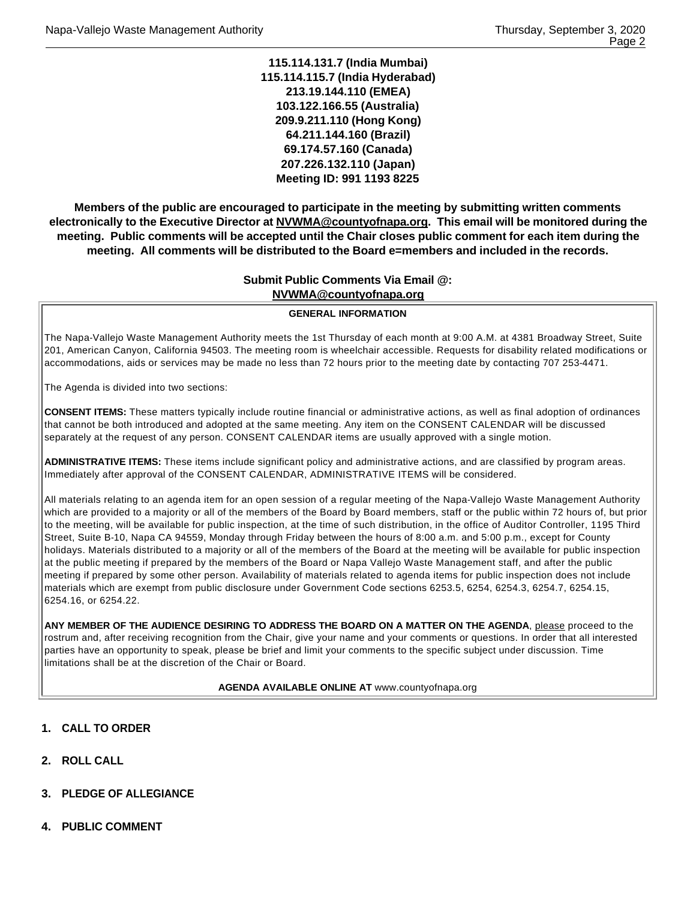**115.114.131.7 (India Mumbai) 115.114.115.7 (India Hyderabad) 213.19.144.110 (EMEA) 103.122.166.55 (Australia) 209.9.211.110 (Hong Kong) 64.211.144.160 (Brazil) 69.174.57.160 (Canada) 207.226.132.110 (Japan) Meeting ID: 991 1193 8225**

**Members of the public are encouraged to participate in the meeting by submitting written comments electronically to the Executive Director at NVWMA@countyofnapa.org. This email will be monitored during the meeting. Public comments will be accepted until the Chair closes public comment for each item during the meeting. All comments will be distributed to the Board e=members and included in the records.**

# **Submit Public Comments Via Email @: NVWMA@countyofnapa.org**

#### **GENERAL INFORMATION**

The Napa-Vallejo Waste Management Authority meets the 1st Thursday of each month at 9:00 A.M. at 4381 Broadway Street, Suite 201, American Canyon, California 94503. The meeting room is wheelchair accessible. Requests for disability related modifications or accommodations, aids or services may be made no less than 72 hours prior to the meeting date by contacting 707 253-4471.

The Agenda is divided into two sections:

**CONSENT ITEMS:** These matters typically include routine financial or administrative actions, as well as final adoption of ordinances that cannot be both introduced and adopted at the same meeting. Any item on the CONSENT CALENDAR will be discussed separately at the request of any person. CONSENT CALENDAR items are usually approved with a single motion.

**ADMINISTRATIVE ITEMS:** These items include significant policy and administrative actions, and are classified by program areas. Immediately after approval of the CONSENT CALENDAR, ADMINISTRATIVE ITEMS will be considered.

All materials relating to an agenda item for an open session of a regular meeting of the Napa-Vallejo Waste Management Authority which are provided to a majority or all of the members of the Board by Board members, staff or the public within 72 hours of, but prior to the meeting, will be available for public inspection, at the time of such distribution, in the office of Auditor Controller, 1195 Third Street, Suite B-10, Napa CA 94559, Monday through Friday between the hours of 8:00 a.m. and 5:00 p.m., except for County holidays. Materials distributed to a majority or all of the members of the Board at the meeting will be available for public inspection at the public meeting if prepared by the members of the Board or Napa Vallejo Waste Management staff, and after the public meeting if prepared by some other person. Availability of materials related to agenda items for public inspection does not include materials which are exempt from public disclosure under Government Code sections 6253.5, 6254, 6254.3, 6254.7, 6254.15, 6254.16, or 6254.22.

**ANY MEMBER OF THE AUDIENCE DESIRING TO ADDRESS THE BOARD ON A MATTER ON THE AGENDA**, please proceed to the rostrum and, after receiving recognition from the Chair, give your name and your comments or questions. In order that all interested parties have an opportunity to speak, please be brief and limit your comments to the specific subject under discussion. Time limitations shall be at the discretion of the Chair or Board.

#### **AGENDA AVAILABLE ONLINE AT** www.countyofnapa.org

- **1. CALL TO ORDER**
- **2. ROLL CALL**
- **3. PLEDGE OF ALLEGIANCE**
- **4. PUBLIC COMMENT**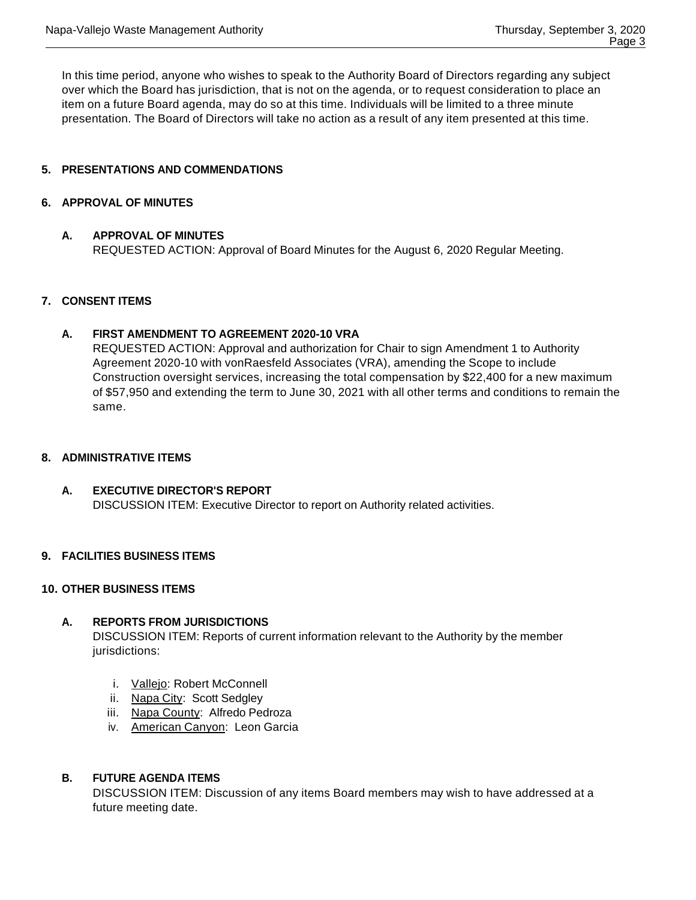In this time period, anyone who wishes to speak to the Authority Board of Directors regarding any subject over which the Board has jurisdiction, that is not on the agenda, or to request consideration to place an item on a future Board agenda, may do so at this time. Individuals will be limited to a three minute presentation. The Board of Directors will take no action as a result of any item presented at this time.

# **5. PRESENTATIONS AND COMMENDATIONS**

## **6. APPROVAL OF MINUTES**

#### **A. APPROVAL OF MINUTES**

REQUESTED ACTION: Approval of Board Minutes for the August 6, 2020 Regular Meeting.

# **7. CONSENT ITEMS**

#### **A. FIRST AMENDMENT TO AGREEMENT 2020-10 VRA**

REQUESTED ACTION: Approval and authorization for Chair to sign Amendment 1 to Authority Agreement 2020-10 with vonRaesfeld Associates (VRA), amending the Scope to include Construction oversight services, increasing the total compensation by \$22,400 for a new maximum of \$57,950 and extending the term to June 30, 2021 with all other terms and conditions to remain the same.

#### **8. ADMINISTRATIVE ITEMS**

# **A. EXECUTIVE DIRECTOR'S REPORT** DISCUSSION ITEM: Executive Director to report on Authority related activities.

# **9. FACILITIES BUSINESS ITEMS**

## **10. OTHER BUSINESS ITEMS**

# **A. REPORTS FROM JURISDICTIONS**

DISCUSSION ITEM: Reports of current information relevant to the Authority by the member jurisdictions:

- i. Vallejo: Robert McConnell
- ii. Napa City: Scott Sedgley
- iii. Napa County: Alfredo Pedroza
- iv. American Canyon: Leon Garcia

# **B. FUTURE AGENDA ITEMS**

DISCUSSION ITEM: Discussion of any items Board members may wish to have addressed at a future meeting date.